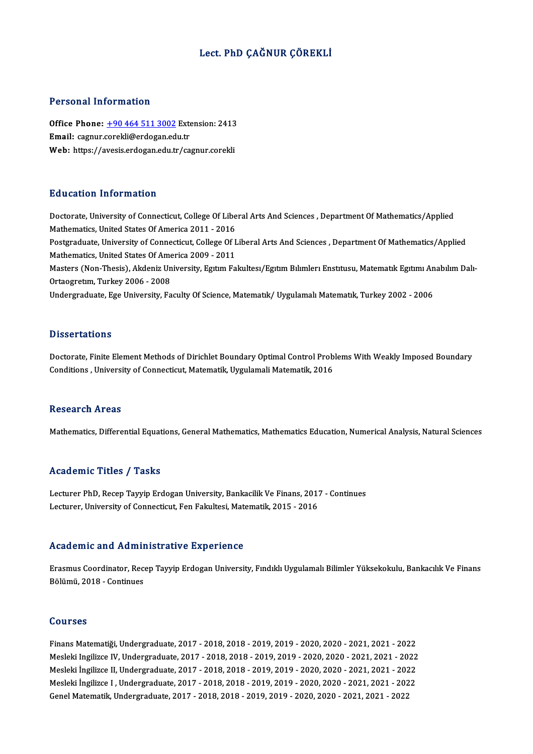# Lect. PhD ÇAĞNUR ÇÖREKLİ

## Personal Information

Personal Information<br>Office Phone: <u>+90 464 511 3002</u> Extension: 2413<br>Email: carpur careldi@ardogan.edu.tr Email: cagnur.[corekli@erdogan.ed](tel:+90 464 511 3002)u.tr Office Phone: <u>+90 464 511 3002</u> Extension: 2413<br>Email: cagnur.corekli@erdogan.edu.tr<br>Web: https://avesis.erdogan.edu.tr/cagnur.corekli Web: https://avesis.erdogan.edu.tr/cagnur.corekli<br>Education Information

Doctorate, University of Connecticut, College Of Liberal Arts And Sciences, Department Of Mathematics/Applied Mathematics, United States Of America 2011 - 2016 Doctorate, University of Connecticut, College Of Liberal Arts And Sciences , Department Of Mathematics/Applied<br>Mathematics, United States Of America 2011 - 2016<br>Postgraduate, University of Connecticut, College Of Liberal A Mathematics, United States Of America 2011 - 2016<br>Postgraduate, University of Connecticut, College Of I<br>Mathematics, United States Of America 2009 - 2011<br>Masters (Non Thesis), Alcleniz University, Fattur Fe Postgraduate, University of Connecticut, College Of Liberal Arts And Sciences , Department Of Mathematics/Applied<br>Mathematics, United States Of America 2009 - 2011<br>Masters (Non-Thesis), Akdeniz University, Egıtım Fakultesı Mathematics, United States Of Ame<br>Masters (Non-Thesis), Akdeniz Un<br>Ortaogretum, Turkey 2006 - 2008<br>Undergreduate Fac University, Fe Masters (Non-Thesis), Akdeniz University, Egıtım Fakultesı/Egıtım Bılımlerı Enstıtusu, Matematık Egıtımı An<br>Ortaogretım, Turkey 2006 - 2008<br>Undergraduate, Ege University, Faculty Of Science, Matematık/ Uygulamalı Matematık Undergraduate, Ege University, Faculty Of Science, Matematik/ Uygulamalı Matematik, Turkey 2002 - 2006<br>Dissertations

Doctorate, Finite Element Methods of Dirichlet Boundary Optimal Control Problems With Weakly Imposed Boundary Conditions, University of Connecticut, Matematik, Uygulamali Matematik, 2016

## Research Areas

Mathematics, Differential Equations, General Mathematics, Mathematics Education, Numerical Analysis, Natural Sciences

## Academic Titles / Tasks

Lecturer PhD, Recep Tayyip Erdogan University, Bankacilik Ve Finans, 2017 - Continues Lecturer, University of Connecticut, Fen Fakultesi, Matematik, 2015 - 2016

## Academic and Administrative Experience

Academic and Administrative Experience<br>Erasmus Coordinator, Recep Tayyip Erdogan University, Fındıklı Uygulamalı Bilimler Yüksekokulu, Bankacılık Ve Finans<br>Bölümü 2018, Continues Sociatorico and Tramit<br>Brasmus Coordinator, Rece<br>Bölümü, 2018 - Continues Bölümü, 2018 - Continues<br>Courses

Courses<br>Finans Matematiği, Undergraduate, 2017 - 2018, 2018 - 2019, 2019 - 2020, 2020 - 2021, 2021 - 2022<br>Meskki Ingilizes IV. Undergraduate, 2017 - 2018, 2019, 2019, 2019, 2020, 2020, 2021, 2021, 2022 SOG1308<br>Finans Matematiği, Undergraduate, 2017 - 2018, 2018 - 2019, 2019 - 2020, 2020 - 2021, 2021 - 2022<br>Mesleki Ingilizce IV, Undergraduate, 2017 - 2018, 2018 - 2019, 2019 - 2020, 2020 - 2021, 2021 - 2022<br>Mesleki İngiliz Finans Matematiği, Undergraduate, 2017 - 2018, 2018 - 2019, 2019 - 2020, 2020 - 2021, 2021 - 2022<br>Mesleki Ingilizce IV, Undergraduate, 2017 - 2018, 2018 - 2019, 2019 - 2020, 2020 - 2021, 2021 - 2022<br>Mesleki İngilizce II, U Mesleki Ingilizce IV, Undergraduate, 2017 - 2018, 2018 - 2019, 2019 - 2020, 2020 - 2021, 2021 - 2022<br>Mesleki İngilizce II, Undergraduate, 2017 - 2018, 2018 - 2019, 2019 - 2020, 2020 - 2021, 2021 - 2022<br>Mesleki İngilizce I Mesleki İngilizce II, Undergraduate, 2017 - 2018, 2018 - 2019, 2019 - 2020, 2020 - 2021, 2021 - 202<br>Mesleki İngilizce I , Undergraduate, 2017 - 2018, 2018 - 2019, 2019 - 2020, 2020 - 2021, 2021 - 202<br>Genel Matematik, Under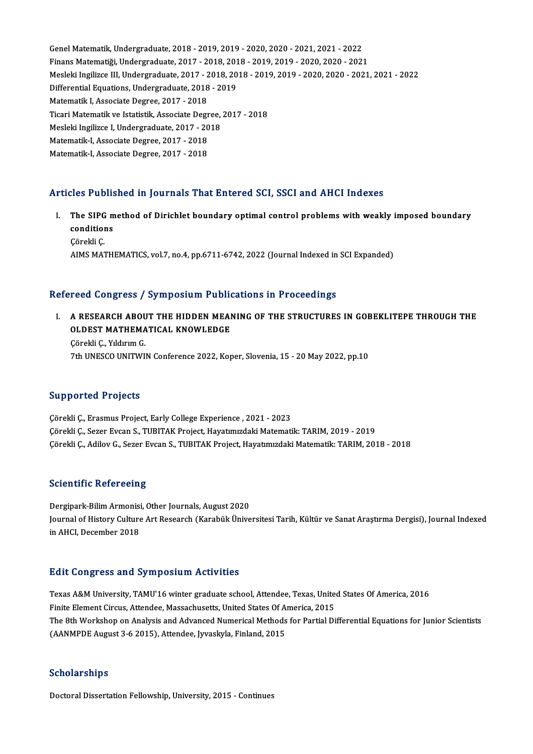Genel Matematik, Undergraduate, 2018 - 2019, 2019 - 2020, 2020 - 2021, 2021 - 2022<br>Financ Matematiči, Undergraduate, 2018 - 2019, 2019, 2019, 2019, 2020, 2020, 2022 Genel Matematik, Undergraduate, 2018 - 2019, 2019 - 2020, 2020 - 2021, 2021 - 2022<br>Finans Matematiği, Undergraduate, 2017 - 2018, 2018 - 2019, 2019 - 2020, 2020 - 2021<br>Meskki Ingilizes III. Undergraduate, 2017 - 2019, 2019 Mesleki Ingilizce III, Undergraduate, 2017 - 2018, 2018 - 2019, 2019 - 2020, 2020 - 2021, 2021 - 2022 Finans Matematiği, Undergraduate, 2017 - 2018, 2018 - 2019, 2019 - 2020, 2020 - 2021<br>Mesleki Ingilizce III, Undergraduate, 2017 - 2018, 2018 - 2019, 2019 - 2020, 2020 - 2021<br>Differential Equations, Undergraduate, 2018 - 20 Differential Equations, Undergraduate, 2018 - 2019 Differential Equations, Undergraduate, 2018 - 2019<br>Matematik I, Associate Degree, 2017 - 2018<br>Ticari Matematik ve Istatistik, Associate Degree, 2017 - 2018<br>Mesleki Ingilizee I, Undergraduate, 2017 - 2019 Matematik I, Associate Degree, 2017 - 2018<br>Ticari Matematik ve Istatistik, Associate Degree,<br>Mesleki Ingilizce I, Undergraduate, 2017 - 2018<br>Matematik I, Associate Degree, 2017 - 2019 Ticari Matematik ve Istatistik, Associate Degr<br>Mesleki Ingilizce I, Undergraduate, 2017 - 20<br>Matematik-I, Associate Degree, 2017 - 2018<br>Matematik I, Associate Degree, 2017 - 2019 Mesleki Ingilizce I, Undergraduate, 2017 - 20<br>Matematik-I, Associate Degree, 2017 - 2018<br>Matematik-I, Associate Degree, 2017 - 2018

# Matematik-I, Associate Degree, 2017 - 2018<br>Articles Published in Journals That Entered SCI, SSCI and AHCI Indexes

rticles Published in Journals That Entered SCI, SSCI and AHCI Indexes<br>I. The SIPG method of Dirichlet boundary optimal control problems with weakly imposed boundary<br>conditions The SIPG m<br>Conditions<br>Conditions The SIPG<br>condition<br>Çörekli Ç.<br>AIMS MAT c**onditions**<br>Çörekli Ç.<br>AIMS MATHEMATICS, vol.7, no.4, pp.6711-6742, 2022 (Journal Indexed in SCI Expanded)

## Refereed Congress / Symposium Publications in Proceedings

efereed Congress / Symposium Publications in Proceedings<br>I. A RESEARCH ABOUT THE HIDDEN MEANING OF THE STRUCTURES IN GOBEKLITEPE THROUGH THE<br>OLDEST MATHEMATICAL KNOWLEDGE TOOL OORGE OOR TIJ STADDOR MET TIJDEN<br>A RESEARCH ABOUT THE HIDDEN MEAI<br>OLDEST MATHEMATICAL KNOWLEDGE OLDEST MATHEMATICAL KNOWLEDGE<br>Çörekli Ç., Yıldırım G.

7th UNESCO UNITWIN Conference 2022, Koper, Slovenia, 15 - 20 May 2022, pp.10

## Supported Projects

ÇörekliÇ.,ErasmusProject,EarlyColegeExperience ,2021 -2023 Çörekli Ç., Sezer Evcan S., TUBITAK Project, Hayatımızdaki Matematik: TARIM, 2019 - 2019 Çörekli Ç., Adilov G., Sezer Evcan S., TUBITAK Project, Hayatımızdaki Matematik: TARIM, 2018 - 2018

## **Scientific Refereeing**

Scie<mark>ntific Refereeing</mark><br>Dergipark-Bilim Armonisi, Other Journals, August 2020<br>Journal of History Culture Art Besearch (Karabül: Ünive Journal of History Culture Art Research (Karabük Üniversitesi Tarih, Kültür ve Sanat Araştırma Dergisi), Journal Indexed<br>in AHCI, December 2018 Dergipark-Bilim Armonisi<br>Journal of History Culture<br>in AHCI, December 2018

## **Edit Congress and Symposium Activities**

Edit Congress and Symposium Activities<br>Texas A&M University, TAMU'16 winter graduate school, Attendee, Texas, United States Of America, 2016<br>Finite Flement Girgue, Attendee, Messesbusetts, United States Of America, 2015 Finite Congress and by inposition freety fires<br>Texas A&M University, TAMU'16 winter graduate school, Attendee, Texas, Unite<br>Finite Element Circus, Attendee, Massachusetts, United States Of America, 2015 Texas A&M University, TAMU'16 winter graduate school, Attendee, Texas, United States Of America, 2016<br>Finite Element Circus, Attendee, Massachusetts, United States Of America, 2015<br>The 8th Workshop on Analysis and Advanced Finite Element Circus, Attendee, Massachusetts, United States Of A<br>The 8th Workshop on Analysis and Advanced Numerical Methods<br>(AANMPDE August 3-6 2015), Attendee, Jyvaskyla, Finland, 2015 (AANMPDE August 3-6 2015), Attendee, Jyvaskyla, Finland, 2015<br>Scholarships

Doctoral Dissertation Fellowship, University, 2015 - Continues